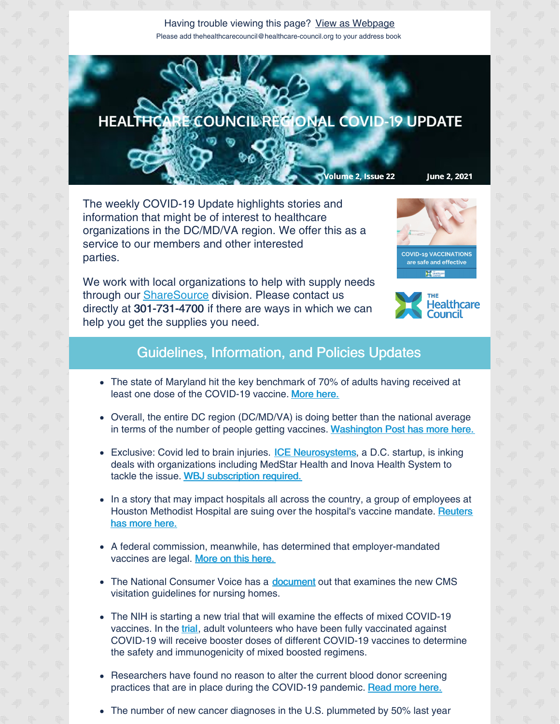Having trouble viewing this page? View as [Webpage](http://campaign.r20.constantcontact.com/render?ca=2908630b-1f9d-4907-bfda-acd7f96ba8de&preview=true&m=1135298390468&id=preview) Please add thehealthcarecouncil@healthcare-council.org to your address book



The weekly COVID-19 Update highlights stories and information that might be of interest to healthcare organizations in the DC/MD/VA region. We offer this as a service to our members and other interested parties.

We work with local organizations to help with supply needs through our **[ShareSource](https://www.share-source.org/)** division. Please contact us directly at 301-731-4700 if there are ways in which we can help you get the supplies you need.





## Guidelines, Information, and Policies Updates

- The state of Maryland hit the key benchmark of 70% of adults having received at least one dose of the COVID-19 vaccine. More [here.](https://www.baltimoresun.com/coronavirus/bs-md-numbers-053121-20210531-putrm7ifg5gqnpuridkqbs2tri-story.html)
- Overall, the entire DC region (DC/MD/VA) is doing better than the national average in terms of the number of people getting vaccines. [Washington](https://www.washingtonpost.com/local/vaccinations-dc-maryland-virginia-covid/2021/05/24/0bf5fe1e-bc97-11eb-9c90-731aff7d9a0d_story.html) Post has more here.
- Exclusive: Covid led to br[a](https://iceneurosystems.com/platform/)in injuries. **ICE [Neurosystems](https://iceneurosystems.com/platform/)**, a D.C. startup, is inking deals with organizations including MedStar Health and Inova Health System to tackle the issue. WBJ [subscription](https://www.bizjournals.com/washington/news/2021/05/14/ice-neurosystems-gets-clearance-for-brain-monitor.html) required.
- In a story that may impact hospitals all across the country, a group of employees at Houston [Methodist](https://www.reuters.com/world/us/health-workers-sue-texas-hospital-over-compulsory-vaccinations-washington-post-2021-05-30/) Hospital are suing over the hospital's vaccine mandate. Reuters has more here.
- A federal commission, meanwhile, has determined that employer-mandated vaccines are legal. More on this [here.](https://www.fiercehealthcare.com/hospitals-health-systems/updated-coronavirus-tracker-blue-cross-nc-waives-ma-copays-for-primary)
- The National Consumer Voice has a **[document](https://theconsumervoice.org/issues/other-issues-and-resources/covid-19/visitation)** out that examines the new CMS visitation guidelines for nursing homes.
- The NIH is starting a new trial that will examine the effects of mixed COVID-19 vaccines. In the [trial](https://www.nih.gov/news-events/news-releases/nih-clinical-trial-evaluating-mixed-covid-19-vaccine-schedules-begins?utm_source=dlvr.it&utm_medium=twitter), adult volunteers who have been fully vaccinated against COVID-19 will receive booster doses of different COVID-19 vaccines to determine the safety and immunogenicity of mixed boosted regimens.
- Researchers have found no reason to alter the current blood donor screening  $\bullet$ practices that are in place during the COVID-19 pandemic. [Read](https://www.nih.gov/news-events/news-releases/us-blood-donations-are-safe-under-current-covid-19-screening-guidelines) more here.
- The number of new cancer diagnoses in the U.S. plummeted by 50% last year